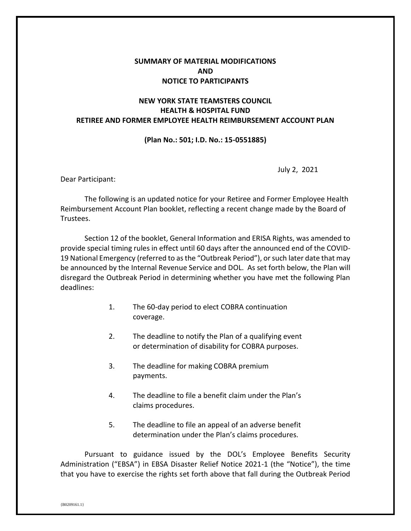## **SUMMARY OF MATERIAL MODIFICATIONS AND NOTICE TO PARTICIPANTS**

## **NEW YORK STATE TEAMSTERS COUNCIL HEALTH & HOSPITAL FUND RETIREE AND FORMER EMPLOYEE HEALTH REIMBURSEMENT ACCOUNT PLAN**

## **(Plan No.: 501; I.D. No.: 15-0551885)**

July 2, 2021

Dear Participant:

The following is an updated notice for your Retiree and Former Employee Health Reimbursement Account Plan booklet, reflecting a recent change made by the Board of Trustees.

Section 12 of the booklet, General Information and ERISA Rights, was amended to provide special timing rules in effect until 60 days after the announced end of the COVID-19 National Emergency (referred to as the "Outbreak Period"), or such later date that may be announced by the Internal Revenue Service and DOL. As set forth below, the Plan will disregard the Outbreak Period in determining whether you have met the following Plan deadlines:

- 1. The 60-day period to elect COBRA continuation coverage.
- 2. The deadline to notify the Plan of a qualifying event or determination of disability for COBRA purposes.
- 3. The deadline for making COBRA premium payments.
- 4. The deadline to file a benefit claim under the Plan's claims procedures.
- 5. The deadline to file an appeal of an adverse benefit determination under the Plan's claims procedures.

Pursuant to guidance issued by the DOL's Employee Benefits Security Administration ("EBSA") in EBSA Disaster Relief Notice 2021-1 (the "Notice"), the time that you have to exercise the rights set forth above that fall during the Outbreak Period